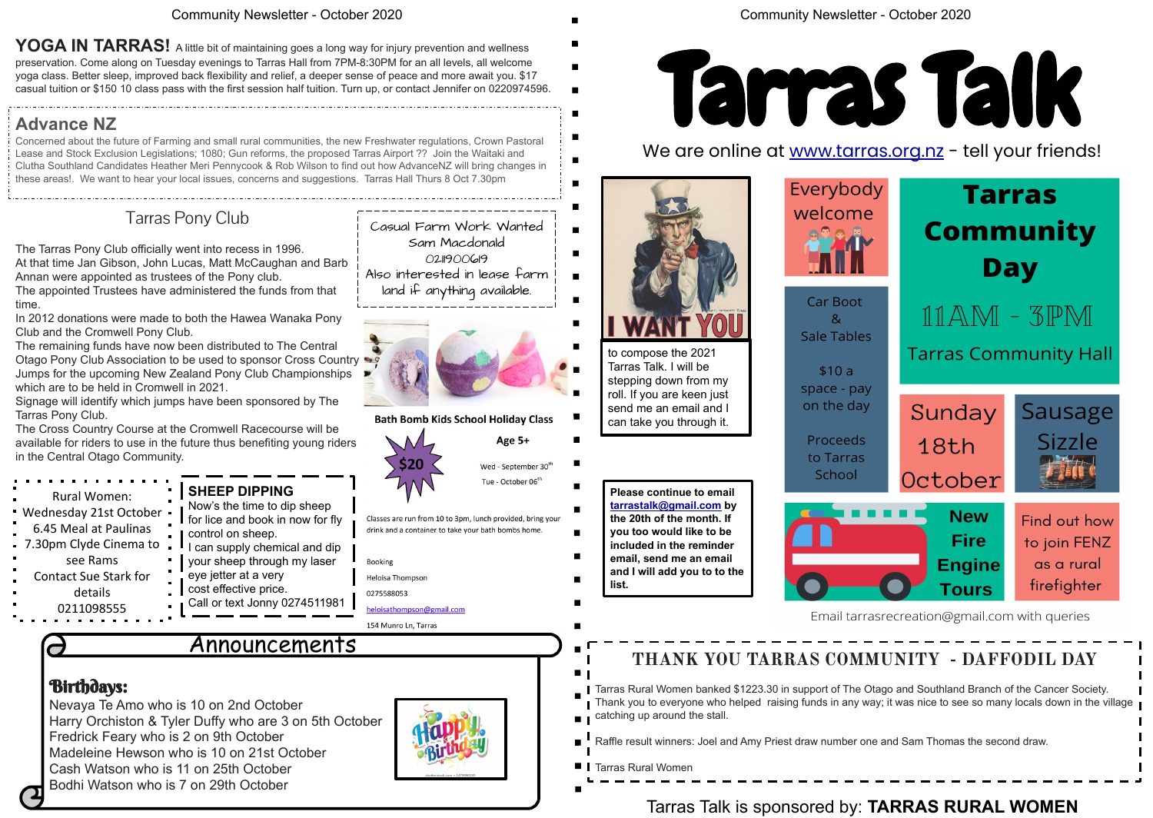## Birthdays:

 $\overline{\phantom{a}}$ 

Nevaya Te Amo who is 10 on 2nd October Harry Orchiston & Tyler Duffy who are 3 on 5th October Fredrick Feary who is 2 on 9th October Madeleine Hewson who is 10 on 21st October Cash Watson who is 11 on 25th October Bodhi Watson who is 7 on 29th October



### Community Newsletter - October 2020

# Announcements

## Community Newsletter - October 2020

**Please continue to email [tarrastalk@gmail.com](mailto:tarrastalk@gmail.com) by the 20th of the month. If you too would like to be included in the reminder email, send me an email and I will add you to to the** 

**list.** 

Tarras Talk is sponsored by: **TARRAS RURAL WOMEN**





Email tarrasrecreation@gmail.com with queries



YOGA IN TARRAS! A little bit of maintaining goes a long way for injury prevention and wellness preservation. Come along on Tuesday evenings to Tarras Hall from 7PM-8:30PM for an all levels, all welcome yoga class. Better sleep, improved back flexibility and relief, a deeper sense of peace and more await you. \$17 casual tuition or \$150 10 class pass with the first session half tuition. Turn up, or contact Jennifer on 0220974596.

# **THANK YOU TARRAS COMMUNITY - DAFFODIL DAY**

Tarras Rural Women banked \$1223.30 in support of The Otago and Southland Branch of the Cancer Society. Thank you to everyone who helped raising funds in any way; it was nice to see so many locals down in the village

 $\overline{\phantom{a}}$  catching up around the stall.

Raffle result winners: Joel and Amy Priest draw number one and Sam Thomas the second draw.

**T** Tarras Rural Women

## **Advance NZ**

Concerned about the future of Farming and small rural communities, the new Freshwater regulations, Crown Pastoral Lease and Stock Exclusion Legislations; 1080; Gun reforms, the proposed Tarras Airport ?? Join the Waitaki and Clutha Southland Candidates Heather Meri Pennycook & Rob Wilson to find out how AdvanceNZ will bring changes in these areas!. We want to hear your local issues, concerns and suggestions. Tarras Hall Thurs 8 Oct 7.30pm

| $\blacksquare$<br>Rural Women:<br>Wednesday 21st October -<br>6.45 Meal at Paulinas<br>$\mathbf{u}$ .<br>7.30pm Clyde Cinema to<br>see Rams<br>$\blacksquare$<br><b>Contact Sue Stark for</b><br>details | SHEEP DIPPING<br>Now's the time to dip sheep<br>I for lice and book in now for fly<br>control on sheep.<br>I can supply chemical and dip<br>•   your sheep through my laser<br>eye jetter at a very<br>cost effective price. |
|----------------------------------------------------------------------------------------------------------------------------------------------------------------------------------------------------------|------------------------------------------------------------------------------------------------------------------------------------------------------------------------------------------------------------------------------|
| $\blacksquare$<br>0211098555                                                                                                                                                                             | Call or text Jonny 0274511981                                                                                                                                                                                                |

# Tarras Pony Club

The Tarras Pony Club officially went into recess in 1996. At that time Jan Gibson, John Lucas, Matt McCaughan and Barb Annan were appointed as trustees of the Pony club.

The appointed Trustees have administered the funds from that time.

In 2012 donations were made to both the Hawea Wanaka Pony Club and the Cromwell Pony Club.

The remaining funds have now been distributed to The Central Otago Pony Club Association to be used to sponsor Cross Country Jumps for the upcoming New Zealand Pony Club Championships which are to be held in Cromwell in 2021.

Signage will identify which jumps have been sponsored by The Tarras Pony Club.

The Cross Country Course at the Cromwell Racecourse will be available for riders to use in the future thus benefiting young riders in the Central Otago Community.



 $\blacksquare$ 

 $\blacksquare$ 

 $\blacksquare$ 

can take you through it.

 $\mathbf{g}$ 

 $$10a$ 

School



## Casual Farm Work Wanted Sam Macdonald 0211900619 Also interested in lease farm land if anything available.



### **Bath Bomb Kids School Holiday Class**



Wed - September 30<sup>th</sup> Tue - October 06<sup>th</sup>

Classes are run from 10 to 3pm, lunch provided, bring your drink and a container to take your bath bombs home.

Booking Heloisa Thompson 0275588053 eloisathompson@gmail.com

 $$20$ 

154 Munro Ln. Tarras